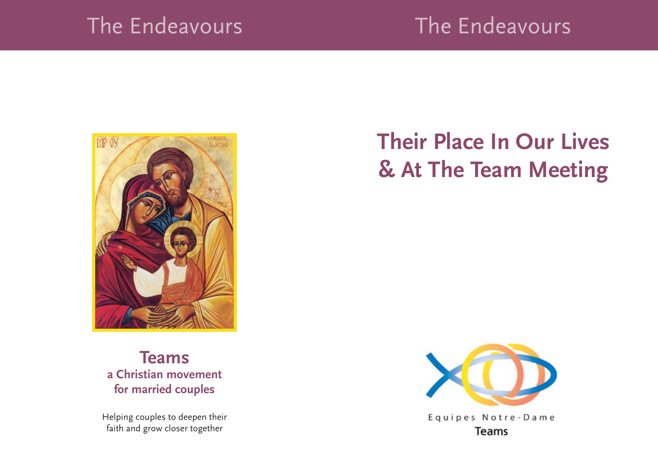### The Endeavours

## The Endeavours



**Teams a Christian movement for married couples**

Helping couples to deepen their faith and grow closer together

# **Their Place In Our Lives & At The Team Meeting**

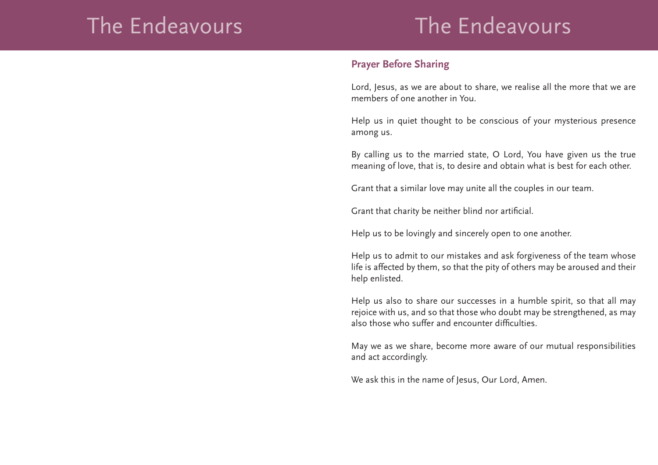## The Endeavours The Endeavours

#### **Prayer Before Sharing**

Lord, Jesus, as we are about to share, we realise all the more that we are members of one another in You.

Help us in quiet thought to be conscious of your mysterious presence among us.

By calling us to the married state, O Lord, You have given us the true meaning of love, that is, to desire and obtain what is best for each other.

Grant that a similar love may unite all the couples in our team.

Grant that charity be neither blind nor artificial.

Help us to be lovingly and sincerely open to one another.

Help us to admit to our mistakes and ask forgiveness of the team whose life is affected by them, so that the pity of others may be aroused and their help enlisted.

Help us also to share our successes in a humble spirit, so that all may rejoice with us, and so that those who doubt may be strengthened, as may also those who suffer and encounter difficulties.

May we as we share, become more aware of our mutual responsibilities and act accordingly.

We ask this in the name of Jesus, Our Lord, Amen.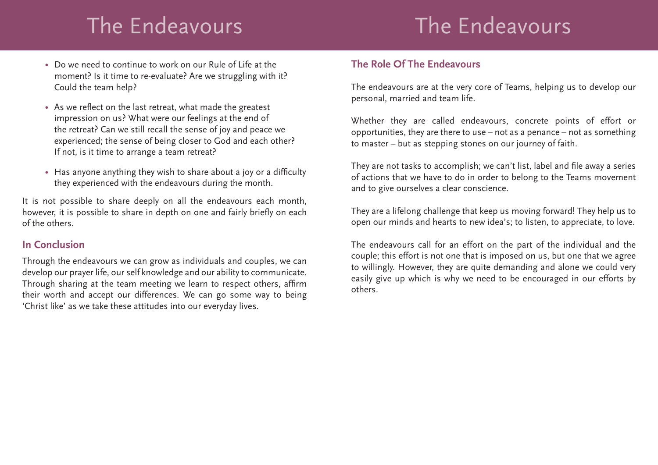# The Endeavours The Endeavours

- Do we need to continue to work on our Rule of Life at the moment? Is it time to re-evaluate? Are we struggling with it? Could the team help?
- As we reflect on the last retreat, what made the greatest impression on us? What were our feelings at the end of the retreat? Can we still recall the sense of joy and peace we experienced; the sense of being closer to God and each other? If not, is it time to arrange a team retreat?
- Has anyone anything they wish to share about a joy or a difficulty they experienced with the endeavours during the month.

It is not possible to share deeply on all the endeavours each month, however, it is possible to share in depth on one and fairly briefly on each of the others.

#### **In Conclusion**

Through the endeavours we can grow as individuals and couples, we can develop our prayer life, our self knowledge and our ability to communicate. Through sharing at the team meeting we learn to respect others, affirm their worth and accept our differences. We can go some way to being 'Christ like' as we take these attitudes into our everyday lives.

### **The Role Of The Endeavours**

The endeavours are at the very core of Teams, helping us to develop our personal, married and team life.

Whether they are called endeavours, concrete points of effort or opportunities, they are there to use – not as a penance – not as something to master – but as stepping stones on our journey of faith.

They are not tasks to accomplish; we can't list, label and file away a series of actions that we have to do in order to belong to the Teams movement and to give ourselves a clear conscience.

They are a lifelong challenge that keep us moving forward! They help us to open our minds and hearts to new idea's; to listen, to appreciate, to love.

The endeavours call for an effort on the part of the individual and the couple; this effort is not one that is imposed on us, but one that we agree to willingly. However, they are quite demanding and alone we could very easily give up which is why we need to be encouraged in our efforts by others.